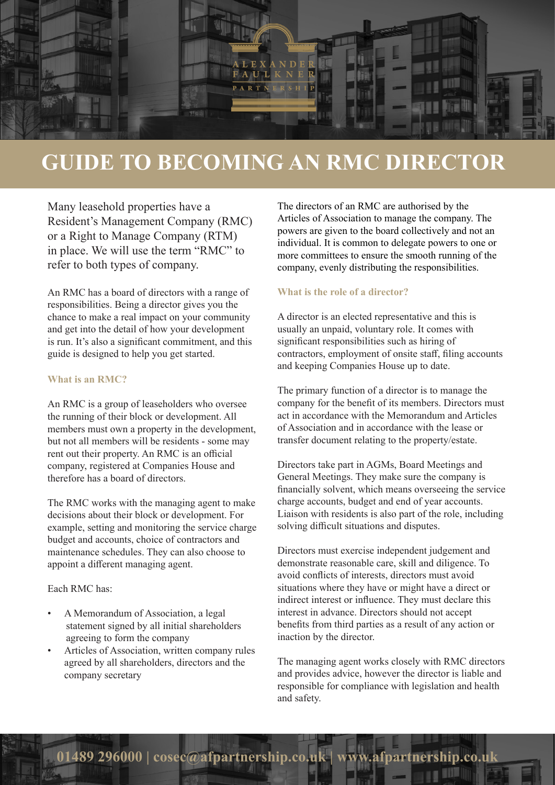

# **GUIDE TO BECOMING AN RMC DIRECTOR**

Many leasehold properties have a Resident's Management Company (RMC) or a Right to Manage Company (RTM) in place. We will use the term "RMC" to refer to both types of company.

An RMC has a board of directors with a range of responsibilities. Being a director gives you the chance to make a real impact on your community and get into the detail of how your development is run. It's also a significant commitment, and this guide is designed to help you get started.

## **What is an RMC?**

An RMC is a group of leaseholders who oversee the running of their block or development. All members must own a property in the development, but not all members will be residents - some may rent out their property. An RMC is an official company, registered at Companies House and therefore has a board of directors.

The RMC works with the managing agent to make decisions about their block or development. For example, setting and monitoring the service charge budget and accounts, choice of contractors and maintenance schedules. They can also choose to appoint a different managing agent.

## Each RMC has:

- A Memorandum of Association, a legal statement signed by all initial shareholders agreeing to form the company
- Articles of Association, written company rules agreed by all shareholders, directors and the company secretary

The directors of an RMC are authorised by the Articles of Association to manage the company. The powers are given to the board collectively and not an individual. It is common to delegate powers to one or more committees to ensure the smooth running of the company, evenly distributing the responsibilities.

# **What is the role of a director?**

A director is an elected representative and this is usually an unpaid, voluntary role. It comes with significant responsibilities such as hiring of contractors, employment of onsite staff, filing accounts and keeping Companies House up to date.

The primary function of a director is to manage the company for the benefit of its members. Directors must act in accordance with the Memorandum and Articles of Association and in accordance with the lease or transfer document relating to the property/estate.

Directors take part in AGMs, Board Meetings and General Meetings. They make sure the company is financially solvent, which means overseeing the service charge accounts, budget and end of year accounts. Liaison with residents is also part of the role, including solving difficult situations and disputes.

Directors must exercise independent judgement and demonstrate reasonable care, skill and diligence. To avoid conflicts of interests, directors must avoid situations where they have or might have a direct or indirect interest or influence. They must declare this interest in advance. Directors should not accept benefits from third parties as a result of any action or inaction by the director.

The managing agent works closely with RMC directors and provides advice, however the director is liable and responsible for compliance with legislation and health and safety.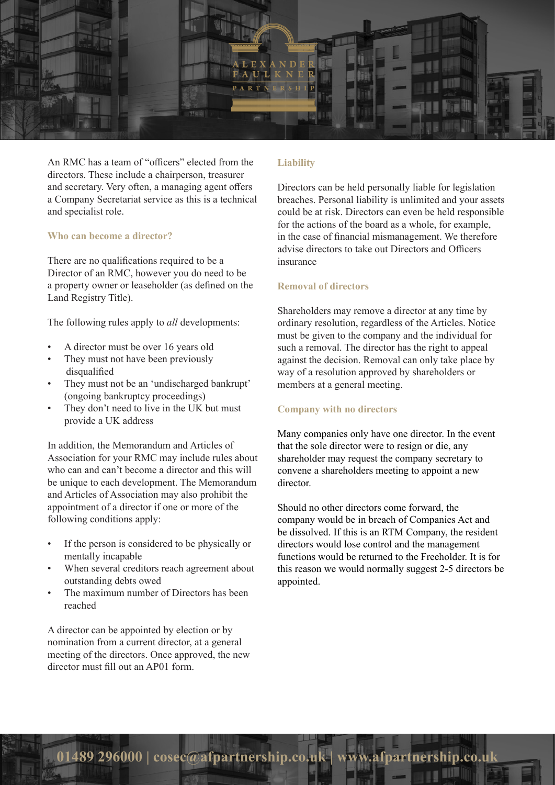

An RMC has a team of "officers" elected from the directors. These include a chairperson, treasurer and secretary. Very often, a managing agent offers a Company Secretariat service as this is a technical and specialist role.

#### **Who can become a director?**

There are no qualifications required to be a Director of an RMC, however you do need to be a property owner or leaseholder (as defined on the Land Registry Title).

The following rules apply to *all* developments:

- A director must be over 16 years old
- They must not have been previously disqualified
- They must not be an 'undischarged bankrupt' (ongoing bankruptcy proceedings)
- They don't need to live in the UK but must provide a UK address

In addition, the Memorandum and Articles of Association for your RMC may include rules about who can and can't become a director and this will be unique to each development. The Memorandum and Articles of Association may also prohibit the appointment of a director if one or more of the following conditions apply:

- If the person is considered to be physically or mentally incapable
- When several creditors reach agreement about outstanding debts owed
- The maximum number of Directors has been reached

A director can be appointed by election or by nomination from a current director, at a general meeting of the directors. Once approved, the new director must fill out an AP01 form.

#### **Liability**

Directors can be held personally liable for legislation breaches. Personal liability is unlimited and your assets could be at risk. Directors can even be held responsible for the actions of the board as a whole, for example, in the case of financial mismanagement. We therefore advise directors to take out Directors and Officers insurance

## **Removal of directors**

Shareholders may remove a director at any time by ordinary resolution, regardless of the Articles. Notice must be given to the company and the individual for such a removal. The director has the right to appeal against the decision. Removal can only take place by way of a resolution approved by shareholders or members at a general meeting.

## **Company with no directors**

Many companies only have one director. In the event that the sole director were to resign or die, any shareholder may request the company secretary to convene a shareholders meeting to appoint a new director.

Should no other directors come forward, the company would be in breach of Companies Act and be dissolved. If this is an RTM Company, the resident directors would lose control and the management functions would be returned to the Freeholder. It is for this reason we would normally suggest 2-5 directors be appointed.